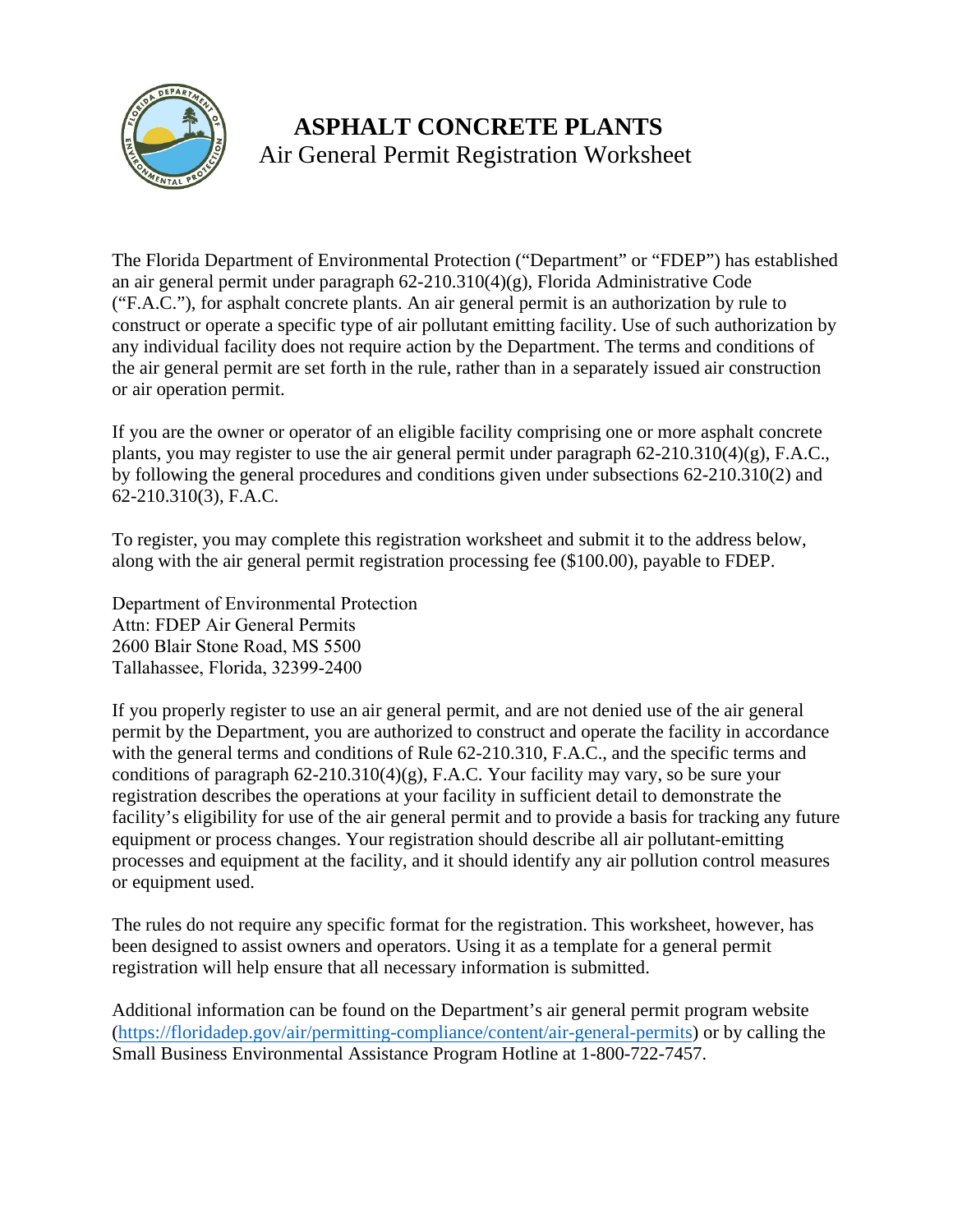

# **ASPHALT CONCRETE PLANTS**  Air General Permit Registration Worksheet

 The Florida Department of Environmental Protection ("Department" or "FDEP") has established an air general permit under paragraph 62-210.310(4)(g), Florida Administrative Code the air general permit are set forth in the rule, rather than in a separately issued air construction or air operation permit. ("F.A.C."), for asphalt concrete plants. An air general permit is an authorization by rule to construct or operate a specific type of air pollutant emitting facility. Use of such authorization by any individual facility does not require action by the Department. The terms and conditions of

 If you are the owner or operator of an eligible facility comprising one or more asphalt concrete plants, you may register to use the air general permit under paragraph 62-210.310(4)(g), F.A.C., by following the general procedures and conditions given under subsections 62-210.310(2) and 62-210.310(3), F.A.C.

To register, you may complete this registration worksheet and submit it to the address below, along with the air general permit registration processing fee (\$100.00), payable to FDEP.

Department of Environmental Protection Attn: FDEP Air General Permits 2600 Blair Stone Road, MS 5500 Tallahassee, Florida, 32399-2400

 If you properly register to use an air general permit, and are not denied use of the air general with the general terms and conditions of Rate 02 210.510, 1.4.1.0., and the specific terms a<br>conditions of paragraph 62-210.310(4)(g), F.A.C. Your facility may vary, so be sure your or equipment used. permit by the Department, you are authorized to construct and operate the facility in accordance with the general terms and conditions of Rule 62-210.310, F.A.C., and the specific terms and registration describes the operations at your facility in sufficient detail to demonstrate the facility's eligibility for use of the air general permit and to provide a basis for tracking any future equipment or process changes. Your registration should describe all air pollutant-emitting processes and equipment at the facility, and it should identify any air pollution control measures

The rules do not require any specific format for the registration. This worksheet, however, has been designed to assist owners and operators. Using it as a template for a general permit registration will help ensure that all necessary information is submitted.

Additional information can be found on the Department's air general permit program website [\(https://floridadep.gov/air/permitting-compliance/content/air-general-permits\)](https://floridadep.gov/air/permitting-compliance/content/air-general-permits) or by calling the Small Business Environmental Assistance Program Hotline at 1-800-722-7457.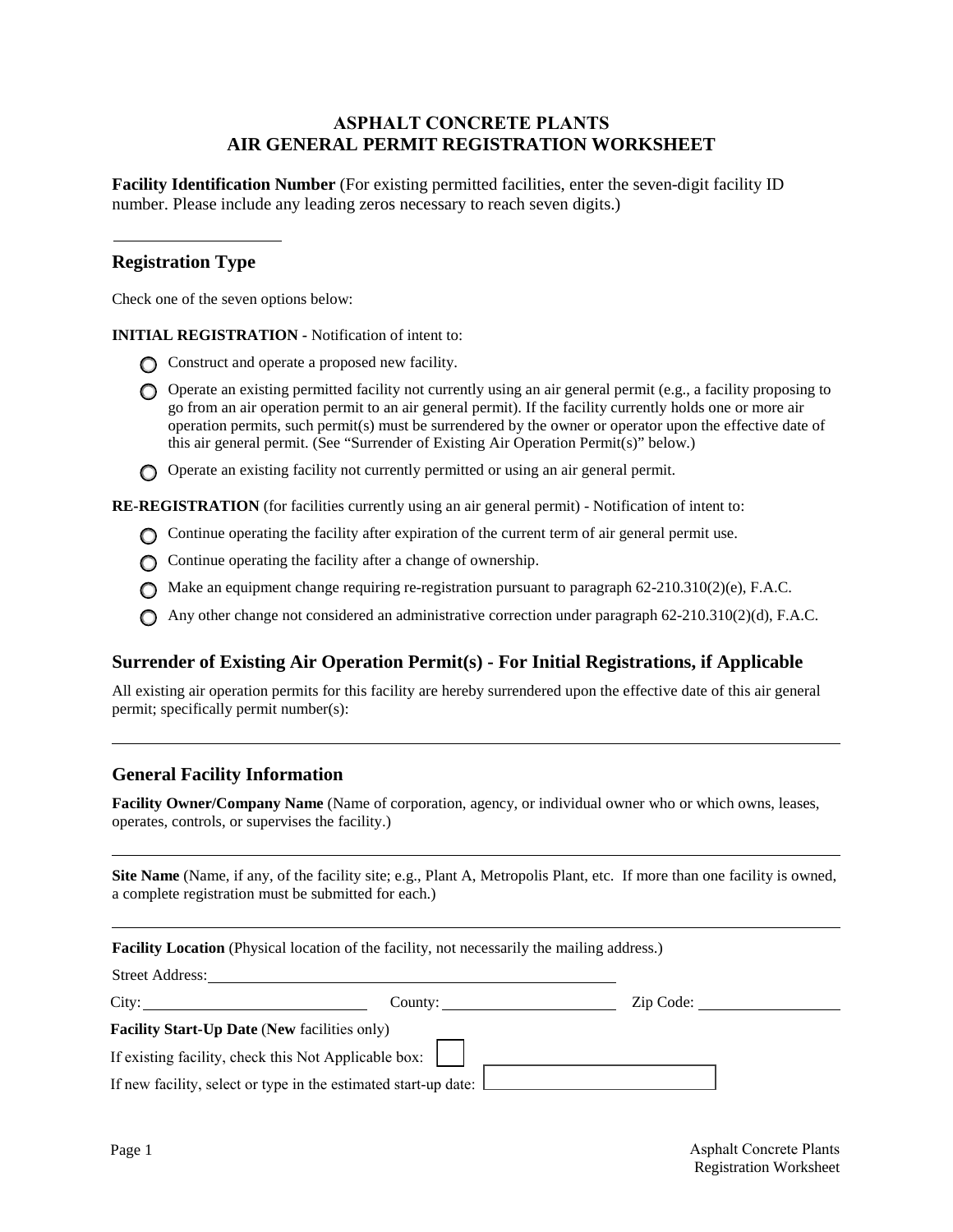#### **ASPHALT CONCRETE PLANTS AIR GENERAL PERMIT REGISTRATION WORKSHEET**

 **Facility Identification Number** (For existing permitted facilities, enter the seven-digit facility ID number. Please include any leading zeros necessary to reach seven digits.)

#### **Registration Type**

Check one of the seven options below:

**INITIAL REGISTRATION -** Notification of intent to:

- Construct and operate a proposed new facility.
- Operate an existing permitted facility not currently using an air general permit (e.g., a facility proposing to go from an air operation permit to an air general permit). If the facility currently holds one or more air operation permits, such permit(s) must be surrendered by the owner or operator upon the effective date of this air general permit. (See "Surrender of Existing Air Operation Permit(s)" below.)
- Operate an existing facility not currently permitted or using an air general permit.

**RE-REGISTRATION** (for facilities currently using an air general permit) - Notification of intent to:

- Continue operating the facility after expiration of the current term of air general permit use.
- $\bigcap$  Continue operating the facility after a change of ownership.
- Make an equipment change requiring re-registration pursuant to paragraph 62-210.310(2)(e), F.A.C.
- Any other change not considered an administrative correction under paragraph 62-210.310(2)(d), F.A.C.

#### **Surrender of Existing Air Operation Permit(s) - For Initial Registrations, if Applicable**

All existing air operation permits for this facility are hereby surrendered upon the effective date of this air general permit; specifically permit number(s):

#### **General Facility Information**

Facility Owner/Company Name (Name of corporation, agency, or individual owner who or which owns, leases, operates, controls, or supervises the facility.)

 a complete registration must be submitted for each.) **Site Name** (Name, if any, of the facility site; e.g., Plant A, Metropolis Plant, etc. If more than one facility is owned,

|                                                     | <b>Facility Location</b> (Physical location of the facility, not necessarily the mailing address.)                             |           |  |
|-----------------------------------------------------|--------------------------------------------------------------------------------------------------------------------------------|-----------|--|
|                                                     | Street Address:                                                                                                                |           |  |
| City:                                               | County: $\qquad \qquad$                                                                                                        | Zip Code: |  |
| <b>Facility Start-Up Date (New facilities only)</b> |                                                                                                                                |           |  |
|                                                     | If existing facility, check this Not Applicable box:<br>If new facility, select or type in the estimated start-up date: $\Box$ |           |  |

 $\overline{a}$ 

l

 $\overline{a}$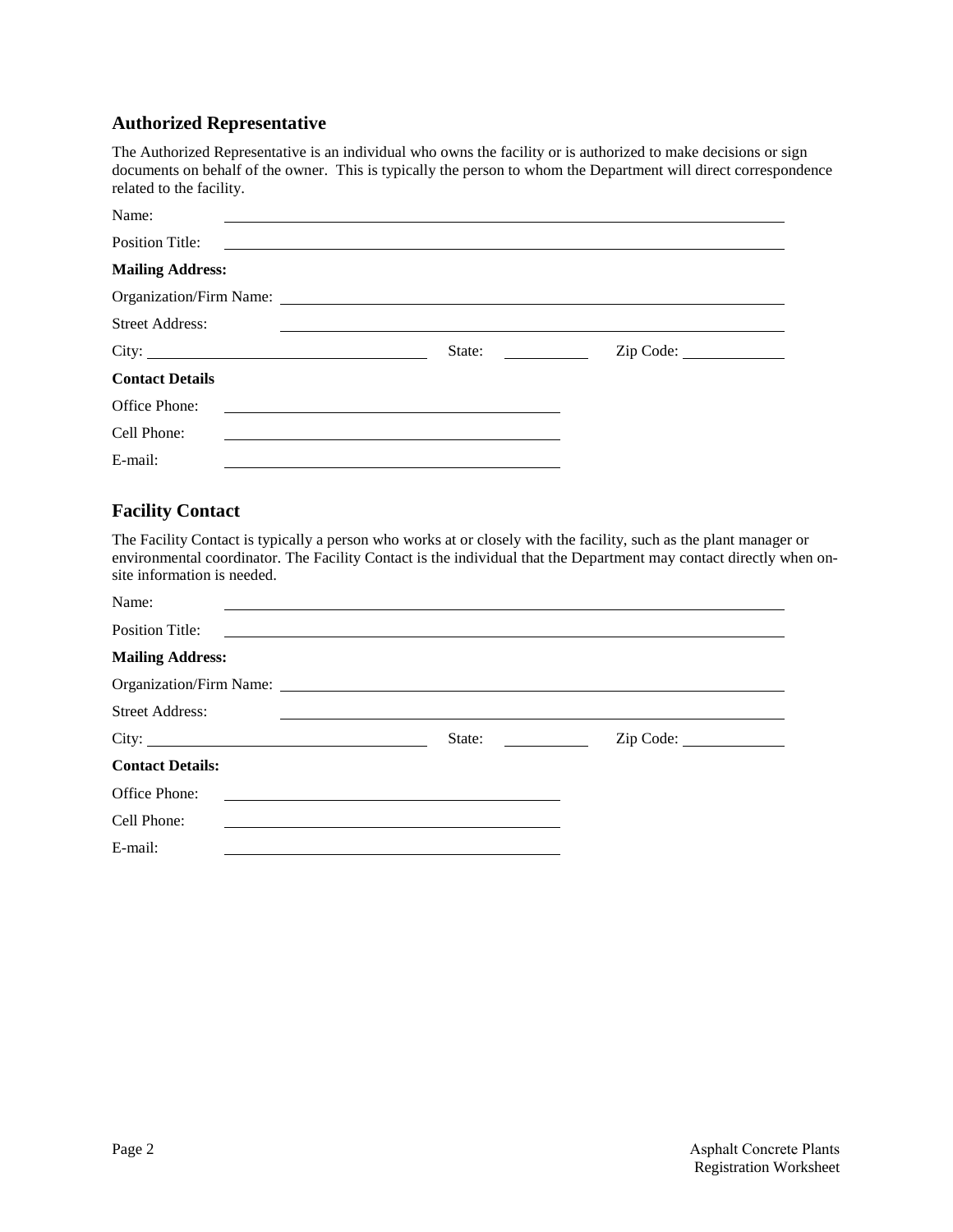#### **Authorized Representative**

 documents on behalf of the owner. This is typically the person to whom the Department will direct correspondence The Authorized Representative is an individual who owns the facility or is authorized to make decisions or sign related to the facility.

| Name:                   |                                                                                                                                  |           |  |
|-------------------------|----------------------------------------------------------------------------------------------------------------------------------|-----------|--|
| <b>Position Title:</b>  |                                                                                                                                  |           |  |
| <b>Mailing Address:</b> |                                                                                                                                  |           |  |
|                         | Organization/Firm Name:                                                                                                          |           |  |
| <b>Street Address:</b>  |                                                                                                                                  |           |  |
|                         | State:<br><u> a shekara ta 1999 a shekara ta 1991 a shekara ta 1991 a shekara ta 1991 a shekara ta 1991 a shekara ta 1991 a </u> | Zip Code: |  |
| <b>Contact Details</b>  |                                                                                                                                  |           |  |
| Office Phone:           |                                                                                                                                  |           |  |
| Cell Phone:             |                                                                                                                                  |           |  |
| E-mail:                 |                                                                                                                                  |           |  |

## **Facility Contact**

 The Facility Contact is typically a person who works at or closely with the facility, such as the plant manager or environmental coordinator. The Facility Contact is the individual that the Department may contact directly when onsite information is needed.

| Name:                   |                         |           |  |
|-------------------------|-------------------------|-----------|--|
| <b>Position Title:</b>  |                         |           |  |
| <b>Mailing Address:</b> |                         |           |  |
|                         | Organization/Firm Name: |           |  |
| <b>Street Address:</b>  |                         |           |  |
|                         | State:                  | Zip Code: |  |
| <b>Contact Details:</b> |                         |           |  |
| Office Phone:           |                         |           |  |
| Cell Phone:             |                         |           |  |
|                         |                         |           |  |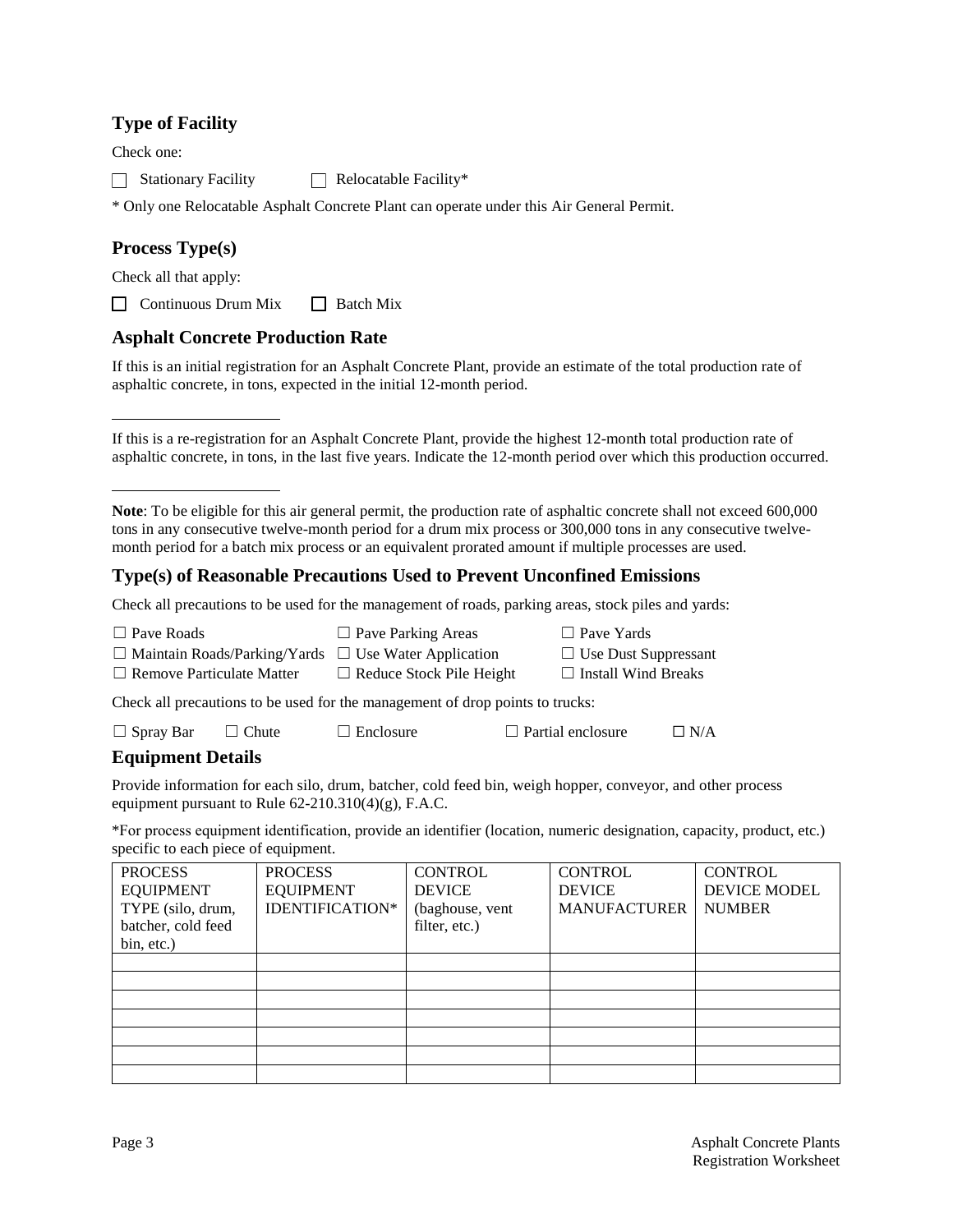## **Type of Facility**

Check one:

 $\Box$  Stationary Facility  $\Box$  Relocatable Facility\*

\* Only one Relocatable Asphalt Concrete Plant can operate under this Air General Permit.

## **Process Type(s)**

Check all that apply:

 $\Box$  Continuous Drum Mix  $\Box$  Batch Mix

#### **Asphalt Concrete Production Rate**

 If this is an initial registration for an Asphalt Concrete Plant, provide an estimate of the total production rate of asphaltic concrete, in tons, expected in the initial 12-month period.

If this is a re-registration for an Asphalt Concrete Plant, provide the highest 12-month total production rate of asphaltic concrete, in tons, in the last five years. Indicate the 12-month period over which this production occurred.

#### **Type(s) of Reasonable Precautions Used to Prevent Unconfined Emissions**

Check all precautions to be used for the management of roads, parking areas, stock piles and yards:

| $\Box$ Pave Roads                                                             | $\Box$ Pave Parking Areas       | $\Box$ Pave Yards           |  |  |
|-------------------------------------------------------------------------------|---------------------------------|-----------------------------|--|--|
| $\Box$ Maintain Roads/Parking/Yards $\Box$ Use Water Application              |                                 | $\Box$ Use Dust Suppressant |  |  |
| $\Box$ Remove Particulate Matter                                              | $\Box$ Reduce Stock Pile Height | $\Box$ Install Wind Breaks  |  |  |
| Check all precautions to be used for the management of drop points to trucks: |                                 |                             |  |  |

| $\Box$ Spray Bar | $\Box$ Chute | $\Box$ Enclosure | $\Box$ Partial enclosure | $\Box$ N/A |
|------------------|--------------|------------------|--------------------------|------------|
|------------------|--------------|------------------|--------------------------|------------|

#### **Equipment Details**

 Provide information for each silo, drum, batcher, cold feed bin, weigh hopper, conveyor, and other process equipment pursuant to Rule 62-210.310(4)(g), F.A.C.

\*For process equipment identification, provide an identifier (location, numeric designation, capacity, product, etc.) specific to each piece of equipment.

| <b>PROCESS</b>     | <b>PROCESS</b>   | <b>CONTROL</b>  | <b>CONTROL</b>      | <b>CONTROL</b> |
|--------------------|------------------|-----------------|---------------------|----------------|
| <b>EQUIPMENT</b>   | <b>EQUIPMENT</b> | <b>DEVICE</b>   | <b>DEVICE</b>       | DEVICE MODEL   |
| TYPE (silo, drum,  | IDENTIFICATION*  | (baghouse, vent | <b>MANUFACTURER</b> | <b>NUMBER</b>  |
| batcher, cold feed |                  | filter, etc.)   |                     |                |
| bin, etc.)         |                  |                 |                     |                |
|                    |                  |                 |                     |                |
|                    |                  |                 |                     |                |
|                    |                  |                 |                     |                |
|                    |                  |                 |                     |                |
|                    |                  |                 |                     |                |
|                    |                  |                 |                     |                |
|                    |                  |                 |                     |                |

 month period for a batch mix process or an equivalent prorated amount if multiple processes are used. **Note**: To be eligible for this air general permit, the production rate of asphaltic concrete shall not exceed 600,000 tons in any consecutive twelve-month period for a drum mix process or 300,000 tons in any consecutive twelve-